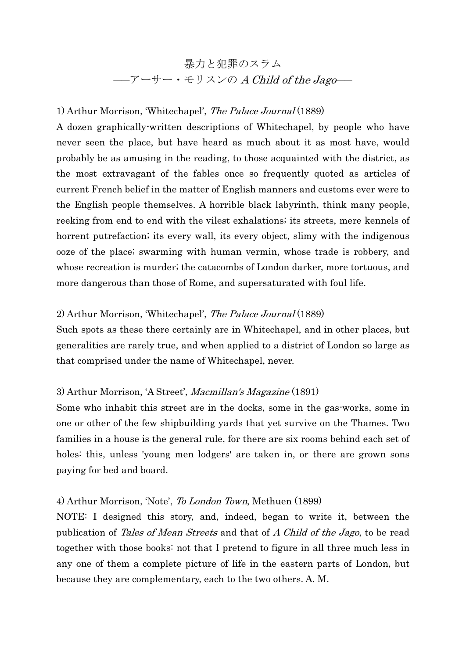# 暴力と犯罪のスラム ――アーサー・モリスンの A Child of the Jago――

## 1) Arthur Morrison, 'Whitechapel', The Palace Journal (1889)

A dozen graphically-written descriptions of Whitechapel, by people who have never seen the place, but have heard as much about it as most have, would probably be as amusing in the reading, to those acquainted with the district, as the most extravagant of the fables once so frequently quoted as articles of current French belief in the matter of English manners and customs ever were to the English people themselves. A horrible black labyrinth, think many people, reeking from end to end with the vilest exhalations; its streets, mere kennels of horrent putrefaction; its every wall, its every object, slimy with the indigenous ooze of the place; swarming with human vermin, whose trade is robbery, and whose recreation is murder; the catacombs of London darker, more tortuous, and more dangerous than those of Rome, and supersaturated with foul life.

#### 2) Arthur Morrison, 'Whitechapel', The Palace Journal (1889)

Such spots as these there certainly are in Whitechapel, and in other places, but generalities are rarely true, and when applied to a district of London so large as that comprised under the name of Whitechapel, never.

### 3) Arthur Morrison, 'A Street', Macmillan's Magazine (1891)

Some who inhabit this street are in the docks, some in the gas-works, some in one or other of the few shipbuilding yards that yet survive on the Thames. Two families in a house is the general rule, for there are six rooms behind each set of holes: this, unless 'young men lodgers' are taken in, or there are grown sons paying for bed and board.

#### 4) Arthur Morrison, 'Note', To London Town, Methuen (1899)

NOTE: I designed this story, and, indeed, began to write it, between the publication of Tales of Mean Streets and that of A Child of the Jago, to be read together with those books: not that I pretend to figure in all three much less in any one of them a complete picture of life in the eastern parts of London, but because they are complementary, each to the two others. A. M.